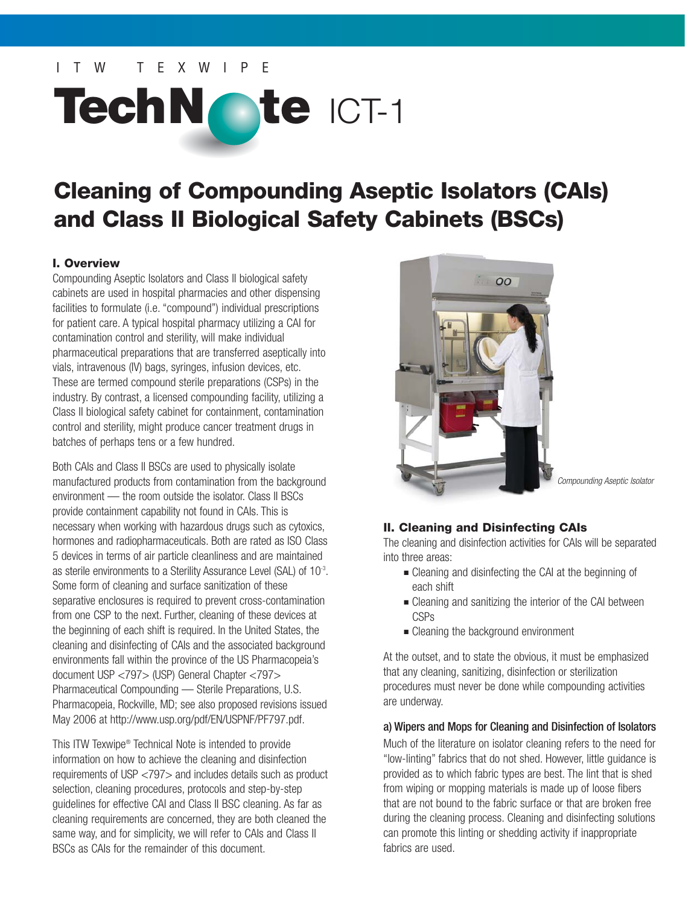# ITW TEXWIPE

# **TechN te** ICT-1

# **Cleaning of Compounding Aseptic Isolators (CAIs) and Class II Biological Safety Cabinets (BSCs)**

#### **I. Overview**

Compounding Aseptic Isolators and Class II biological safety cabinets are used in hospital pharmacies and other dispensing facilities to formulate (i.e. "compound") individual prescriptions for patient care. A typical hospital pharmacy utilizing a CAI for contamination control and sterility, will make individual pharmaceutical preparations that are transferred aseptically into vials, intravenous (IV) bags, syringes, infusion devices, etc. These are termed compound sterile preparations (CSPs) in the industry. By contrast, a licensed compounding facility, utilizing a Class II biological safety cabinet for containment, contamination control and sterility, might produce cancer treatment drugs in batches of perhaps tens or a few hundred.

Both CAIs and Class II BSCs are used to physically isolate manufactured products from contamination from the background environment — the room outside the isolator. Class II BSCs provide containment capability not found in CAIs. This is necessary when working with hazardous drugs such as cytoxics, hormones and radiopharmaceuticals. Both are rated as ISO Class 5 devices in terms of air particle cleanliness and are maintained as sterile environments to a Sterility Assurance Level (SAL) of 10-3. Some form of cleaning and surface sanitization of these separative enclosures is required to prevent cross-contamination from one CSP to the next. Further, cleaning of these devices at the beginning of each shift is required. In the United States, the cleaning and disinfecting of CAIs and the associated background environments fall within the province of the US Pharmacopeia's document USP <797> (USP) General Chapter <797> Pharmaceutical Compounding — Sterile Preparations, U.S. Pharmacopeia, Rockville, MD; see also proposed revisions issued May 2006 at http://www.usp.org/pdf/EN/USPNF/PF797.pdf.

This ITW Texwipe® Technical Note is intended to provide information on how to achieve the cleaning and disinfection requirements of USP <797> and includes details such as product selection, cleaning procedures, protocols and step-by-step guidelines for effective CAI and Class II BSC cleaning. As far as cleaning requirements are concerned, they are both cleaned the same way, and for simplicity, we will refer to CAIs and Class II BSCs as CAIs for the remainder of this document.



Compounding Aseptic Isolator

#### **II. Cleaning and Disinfecting CAIs**

The cleaning and disinfection activities for CAIs will be separated into three areas:

- Cleaning and disinfecting the CAI at the beginning of each shift
- Cleaning and sanitizing the interior of the CAI between CSPs
- Cleaning the background environment

At the outset, and to state the obvious, it must be emphasized that any cleaning, sanitizing, disinfection or sterilization procedures must never be done while compounding activities are underway.

#### a) Wipers and Mops for Cleaning and Disinfection of Isolators

Much of the literature on isolator cleaning refers to the need for "low-linting" fabrics that do not shed. However, little guidance is provided as to which fabric types are best. The lint that is shed from wiping or mopping materials is made up of loose fibers that are not bound to the fabric surface or that are broken free during the cleaning process. Cleaning and disinfecting solutions can promote this linting or shedding activity if inappropriate fabrics are used.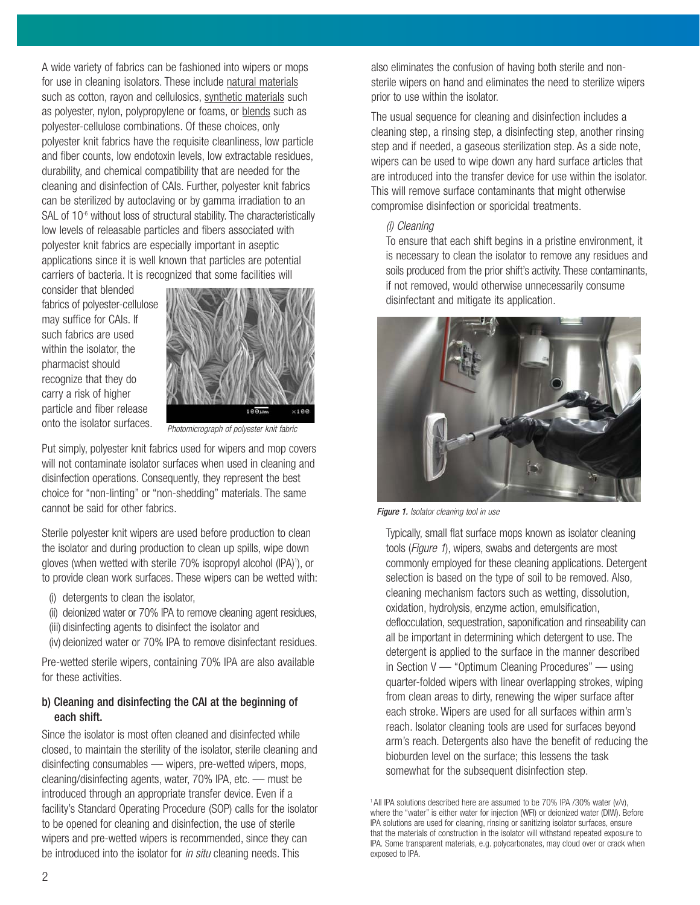A wide variety of fabrics can be fashioned into wipers or mops for use in cleaning isolators. These include natural materials such as cotton, rayon and cellulosics, synthetic materials such as polyester, nylon, polypropylene or foams, or blends such as polyester-cellulose combinations. Of these choices, only polyester knit fabrics have the requisite cleanliness, low particle and fiber counts, low endotoxin levels, low extractable residues, durability, and chemical compatibility that are needed for the cleaning and disinfection of CAIs. Further, polyester knit fabrics can be sterilized by autoclaving or by gamma irradiation to an SAL of 10<sup>-6</sup> without loss of structural stability. The characteristically low levels of releasable particles and fibers associated with polyester knit fabrics are especially important in aseptic applications since it is well known that particles are potential carriers of bacteria. It is recognized that some facilities will

consider that blended fabrics of polyester-cellulose may suffice for CAIs. If such fabrics are used within the isolator, the pharmacist should recognize that they do carry a risk of higher particle and fiber release onto the isolator surfaces.



Photomicrograph of polyester knit fabric

Put simply, polyester knit fabrics used for wipers and mop covers will not contaminate isolator surfaces when used in cleaning and disinfection operations. Consequently, they represent the best choice for "non-linting" or "non-shedding" materials. The same cannot be said for other fabrics.

Sterile polyester knit wipers are used before production to clean the isolator and during production to clean up spills, wipe down gloves (when wetted with sterile 70% isopropyl alcohol (IPA)<sup>1</sup>), or to provide clean work surfaces. These wipers can be wetted with:

- (i) detergents to clean the isolator,
- (ii) deionized water or 70% IPA to remove cleaning agent residues,
- (iii) disinfecting agents to disinfect the isolator and
- (iv) deionized water or 70% IPA to remove disinfectant residues.

Pre-wetted sterile wipers, containing 70% IPA are also available for these activities.

#### b) Cleaning and disinfecting the CAI at the beginning of each shift.

Since the isolator is most often cleaned and disinfected while closed, to maintain the sterility of the isolator, sterile cleaning and disinfecting consumables — wipers, pre-wetted wipers, mops, cleaning/disinfecting agents, water, 70% IPA, etc. — must be introduced through an appropriate transfer device. Even if a facility's Standard Operating Procedure (SOP) calls for the isolator to be opened for cleaning and disinfection, the use of sterile wipers and pre-wetted wipers is recommended, since they can be introduced into the isolator for *in situ* cleaning needs. This

also eliminates the confusion of having both sterile and nonsterile wipers on hand and eliminates the need to sterilize wipers prior to use within the isolator.

The usual sequence for cleaning and disinfection includes a cleaning step, a rinsing step, a disinfecting step, another rinsing step and if needed, a gaseous sterilization step. As a side note, wipers can be used to wipe down any hard surface articles that are introduced into the transfer device for use within the isolator. This will remove surface contaminants that might otherwise compromise disinfection or sporicidal treatments.

#### (i) Cleaning

To ensure that each shift begins in a pristine environment, it is necessary to clean the isolator to remove any residues and soils produced from the prior shift's activity. These contaminants, if not removed, would otherwise unnecessarily consume disinfectant and mitigate its application.



Figure 1. Isolator cleaning tool in use

Typically, small flat surface mops known as isolator cleaning tools (Figure 1), wipers, swabs and detergents are most commonly employed for these cleaning applications. Detergent selection is based on the type of soil to be removed. Also, cleaning mechanism factors such as wetting, dissolution, oxidation, hydrolysis, enzyme action, emulsification, deflocculation, sequestration, saponification and rinseability can all be important in determining which detergent to use. The detergent is applied to the surface in the manner described in Section V — "Optimum Cleaning Procedures" — using quarter-folded wipers with linear overlapping strokes, wiping from clean areas to dirty, renewing the wiper surface after each stroke. Wipers are used for all surfaces within arm's reach. Isolator cleaning tools are used for surfaces beyond arm's reach. Detergents also have the benefit of reducing the bioburden level on the surface; this lessens the task somewhat for the subsequent disinfection step.

<sup>1</sup> All IPA solutions described here are assumed to be 70% IPA /30% water (v/v), where the "water" is either water for injection (WFI) or deionized water (DIW). Before IPA solutions are used for cleaning, rinsing or sanitizing isolator surfaces, ensure that the materials of construction in the isolator will withstand repeated exposure to IPA. Some transparent materials, e.g. polycarbonates, may cloud over or crack when exposed to IPA.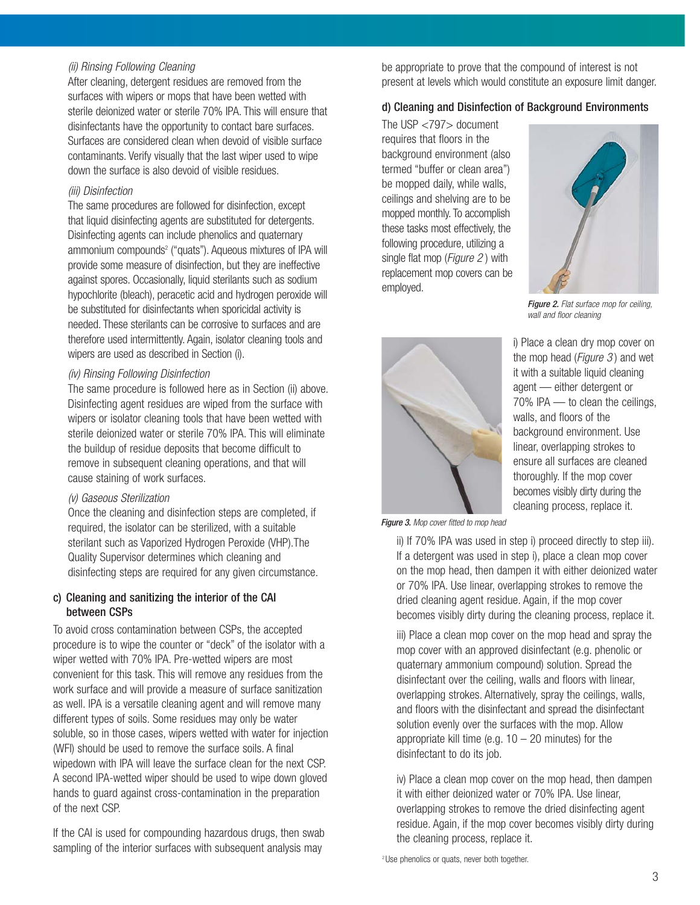#### (ii) Rinsing Following Cleaning

After cleaning, detergent residues are removed from the surfaces with wipers or mops that have been wetted with sterile deionized water or sterile 70% IPA. This will ensure that disinfectants have the opportunity to contact bare surfaces. Surfaces are considered clean when devoid of visible surface contaminants. Verify visually that the last wiper used to wipe down the surface is also devoid of visible residues.

#### (iii) Disinfection

The same procedures are followed for disinfection, except that liquid disinfecting agents are substituted for detergents. Disinfecting agents can include phenolics and quaternary ammonium compounds<sup>2</sup> ("quats"). Aqueous mixtures of IPA will provide some measure of disinfection, but they are ineffective against spores. Occasionally, liquid sterilants such as sodium hypochlorite (bleach), peracetic acid and hydrogen peroxide will be substituted for disinfectants when sporicidal activity is needed. These sterilants can be corrosive to surfaces and are therefore used intermittently. Again, isolator cleaning tools and wipers are used as described in Section (i).

#### (iv) Rinsing Following Disinfection

The same procedure is followed here as in Section (ii) above. Disinfecting agent residues are wiped from the surface with wipers or isolator cleaning tools that have been wetted with sterile deionized water or sterile 70% IPA. This will eliminate the buildup of residue deposits that become difficult to remove in subsequent cleaning operations, and that will cause staining of work surfaces.

#### (v) Gaseous Sterilization

Once the cleaning and disinfection steps are completed, if required, the isolator can be sterilized, with a suitable sterilant such as Vaporized Hydrogen Peroxide (VHP).The Quality Supervisor determines which cleaning and disinfecting steps are required for any given circumstance.

#### c) Cleaning and sanitizing the interior of the CAI between CSPs

To avoid cross contamination between CSPs, the accepted procedure is to wipe the counter or "deck" of the isolator with a wiper wetted with 70% IPA. Pre-wetted wipers are most convenient for this task. This will remove any residues from the work surface and will provide a measure of surface sanitization as well. IPA is a versatile cleaning agent and will remove many different types of soils. Some residues may only be water soluble, so in those cases, wipers wetted with water for injection (WFI) should be used to remove the surface soils. A final wipedown with IPA will leave the surface clean for the next CSP. A second IPA-wetted wiper should be used to wipe down gloved hands to guard against cross-contamination in the preparation of the next CSP.

If the CAI is used for compounding hazardous drugs, then swab sampling of the interior surfaces with subsequent analysis may

be appropriate to prove that the compound of interest is not present at levels which would constitute an exposure limit danger.

#### d) Cleaning and Disinfection of Background Environments

The USP <797> document requires that floors in the background environment (also termed "buffer or clean area") be mopped daily, while walls, ceilings and shelving are to be mopped monthly. To accomplish these tasks most effectively, the following procedure, utilizing a single flat mop (*Figure 2*) with replacement mop covers can be employed.



Figure 2. Flat surface mop for ceiling, wall and floor cleaning



i) Place a clean dry mop cover on the mop head ( $Figure 3$ ) and wet it with a suitable liquid cleaning agent — either detergent or 70% IPA — to clean the ceilings, walls, and floors of the background environment. Use linear, overlapping strokes to ensure all surfaces are cleaned thoroughly. If the mop cover becomes visibly dirty during the cleaning process, replace it.

Figure 3. Mop cover fitted to mop head

ii) If 70% IPA was used in step i) proceed directly to step iii). If a detergent was used in step i), place a clean mop cover on the mop head, then dampen it with either deionized water or 70% IPA. Use linear, overlapping strokes to remove the dried cleaning agent residue. Again, if the mop cover becomes visibly dirty during the cleaning process, replace it.

iii) Place a clean mop cover on the mop head and spray the mop cover with an approved disinfectant (e.g. phenolic or quaternary ammonium compound) solution. Spread the disinfectant over the ceiling, walls and floors with linear, overlapping strokes. Alternatively, spray the ceilings, walls, and floors with the disinfectant and spread the disinfectant solution evenly over the surfaces with the mop. Allow appropriate kill time (e.g.  $10 - 20$  minutes) for the disinfectant to do its job.

iv) Place a clean mop cover on the mop head, then dampen it with either deionized water or 70% IPA. Use linear, overlapping strokes to remove the dried disinfecting agent residue. Again, if the mop cover becomes visibly dirty during the cleaning process, replace it.

<sup>2</sup> Use phenolics or quats, never both together.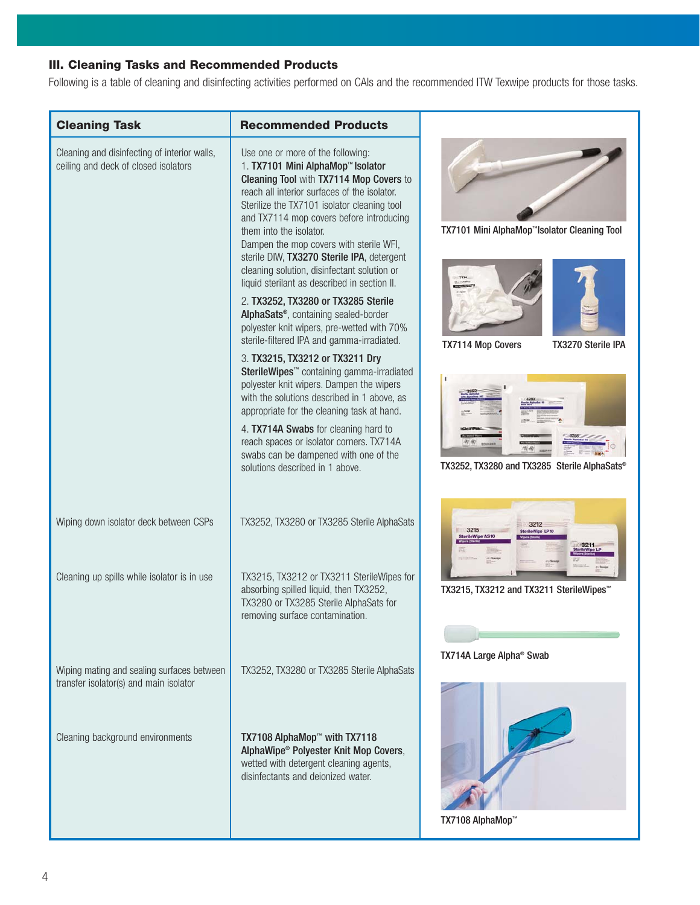# **III. Cleaning Tasks and Recommended Products**

Following is a table of cleaning and disinfecting activities performed on CAIs and the recommended ITW Texwipe products for those tasks.

| <b>Cleaning Task</b>                                                                 | <b>Recommended Products</b>                                                                                                                                                                                                                                                                                                                                                                                                                                                     |                                                          |
|--------------------------------------------------------------------------------------|---------------------------------------------------------------------------------------------------------------------------------------------------------------------------------------------------------------------------------------------------------------------------------------------------------------------------------------------------------------------------------------------------------------------------------------------------------------------------------|----------------------------------------------------------|
| Cleaning and disinfecting of interior walls,<br>ceiling and deck of closed isolators | Use one or more of the following:<br>1. TX7101 Mini AlphaMop™ Isolator<br>Cleaning Tool with TX7114 Mop Covers to<br>reach all interior surfaces of the isolator.<br>Sterilize the TX7101 isolator cleaning tool<br>and TX7114 mop covers before introducing<br>them into the isolator.<br>Dampen the mop covers with sterile WFI,<br>sterile DIW, TX3270 Sterile IPA, detergent<br>cleaning solution, disinfectant solution or<br>liquid sterilant as described in section II. | TX7101 Mini AlphaMop <sup>™</sup> Isolator Cleaning Tool |
|                                                                                      | 2. TX3252, TX3280 or TX3285 Sterile<br>AlphaSats <sup>®</sup> , containing sealed-border<br>polyester knit wipers, pre-wetted with 70%<br>sterile-filtered IPA and gamma-irradiated.                                                                                                                                                                                                                                                                                            | <b>TX7114 Mop Covers</b><br><b>TX3270 Sterile IPA</b>    |
|                                                                                      | 3. TX3215, TX3212 or TX3211 Dry<br>SterileWipes <sup>™</sup> containing gamma-irradiated<br>polyester knit wipers. Dampen the wipers<br>with the solutions described in 1 above, as<br>appropriate for the cleaning task at hand.                                                                                                                                                                                                                                               |                                                          |
|                                                                                      | 4. TX714A Swabs for cleaning hard to<br>reach spaces or isolator corners. TX714A<br>swabs can be dampened with one of the<br>solutions described in 1 above.                                                                                                                                                                                                                                                                                                                    | TX3252, TX3280 and TX3285 Sterile AlphaSats®             |
| Wiping down isolator deck between CSPs                                               | TX3252, TX3280 or TX3285 Sterile AlphaSats                                                                                                                                                                                                                                                                                                                                                                                                                                      |                                                          |
| Cleaning up spills while isolator is in use                                          | TX3215, TX3212 or TX3211 SterileWipes for<br>absorbing spilled liquid, then TX3252,<br>TX3280 or TX3285 Sterile AlphaSats for<br>removing surface contamination.                                                                                                                                                                                                                                                                                                                | TX3215, TX3212 and TX3211 SterileWipes <sup>™</sup>      |
|                                                                                      |                                                                                                                                                                                                                                                                                                                                                                                                                                                                                 | TX714A Large Alpha <sup>®</sup> Swab                     |
| Wiping mating and sealing surfaces between<br>transfer isolator(s) and main isolator | TX3252, TX3280 or TX3285 Sterile AlphaSats                                                                                                                                                                                                                                                                                                                                                                                                                                      |                                                          |
| Cleaning background environments                                                     | TX7108 AlphaMop <sup>™</sup> with TX7118<br>AlphaWipe® Polyester Knit Mop Covers,<br>wetted with detergent cleaning agents,<br>disinfectants and deionized water.                                                                                                                                                                                                                                                                                                               | TX7108 AlphaMop™                                         |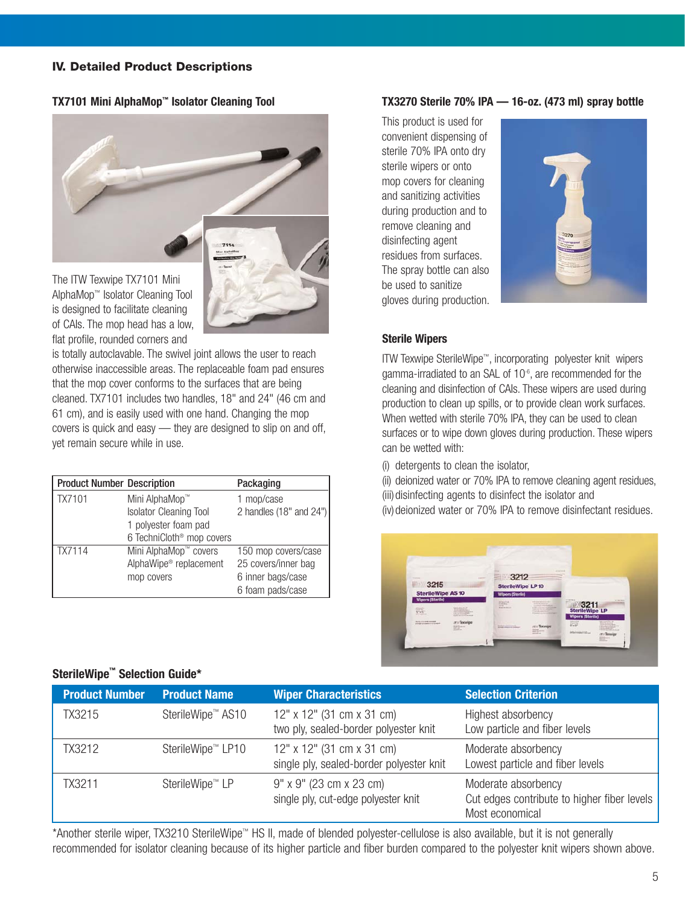#### **IV. Detailed Product Descriptions**

#### **TX7101 Mini AlphaMop™ Isolator Cleaning Tool**



The ITW Texwipe TX7101 Mini AlphaMop™ Isolator Cleaning Tool is designed to facilitate cleaning of CAIs. The mop head has a low, flat profile, rounded corners and

is totally autoclavable. The swivel joint allows the user to reach otherwise inaccessible areas. The replaceable foam pad ensures that the mop cover conforms to the surfaces that are being cleaned. TX7101 includes two handles, 18" and 24" (46 cm and 61 cm), and is easily used with one hand. Changing the mop covers is quick and easy — they are designed to slip on and off, yet remain secure while in use.

| <b>Product Number Description</b> |                                       | Packaging                   |
|-----------------------------------|---------------------------------------|-----------------------------|
| TX7101                            | Mini AlphaMop™                        | 1 mop/case                  |
|                                   | <b>Isolator Cleaning Tool</b>         | 2 handles $(18"$ and $24")$ |
|                                   | 1 polyester foam pad                  |                             |
|                                   | 6 TechniCloth <sup>®</sup> mop covers |                             |
| TX7114                            | Mini AlphaMop <sup>™</sup> covers     | 150 mop covers/case         |
|                                   | AlphaWipe <sup>®</sup> replacement    | 25 covers/inner bag         |
|                                   | mop covers                            | 6 inner bags/case           |
|                                   |                                       | 6 foam pads/case            |

#### **TX3270 Sterile 70% IPA — 16-oz. (473 ml) spray bottle**

This product is used for convenient dispensing of sterile 70% IPA onto dry sterile wipers or onto mop covers for cleaning and sanitizing activities during production and to remove cleaning and disinfecting agent residues from surfaces. The spray bottle can also be used to sanitize gloves during production.



#### **Sterile Wipers**

ITW Texwipe SterileWipe™, incorporating polyester knit wipers gamma-irradiated to an SAL of 10-6, are recommended for the cleaning and disinfection of CAIs. These wipers are used during production to clean up spills, or to provide clean work surfaces. When wetted with sterile 70% IPA, they can be used to clean surfaces or to wipe down gloves during production. These wipers can be wetted with:

(i) detergents to clean the isolator,

(ii) deionized water or 70% IPA to remove cleaning agent residues, (iii) disinfecting agents to disinfect the isolator and (iv) deionized water or 70% IPA to remove disinfectant residues.



## **Product Number Characteristics And Selection Criterion Criterion** TX3215 SterileWipe™ AS10 12" x 12" (31 cm x 31 cm) Highest absorbency two ply, sealed-border polyester knit Low particle and fiber levels TX3212 SterileWipe™ LP10 12" x 12" (31 cm x 31 cm) Moderate absorbency single ply, sealed-border polyester knit Lowest particle and fiber levels TX3211 SterileWipe™ LP 9" x 9" (23 cm x 23 cm) Moderate absorbency single ply, cut-edge polyester knit Cut edges contribute to higher fiber levels Most economical

\*Another sterile wiper, TX3210 SterileWipe™ HS II, made of blended polyester-cellulose is also available, but it is not generally recommended for isolator cleaning because of its higher particle and fiber burden compared to the polyester knit wipers shown above.

### **SterileWipe™ Selection Guide\***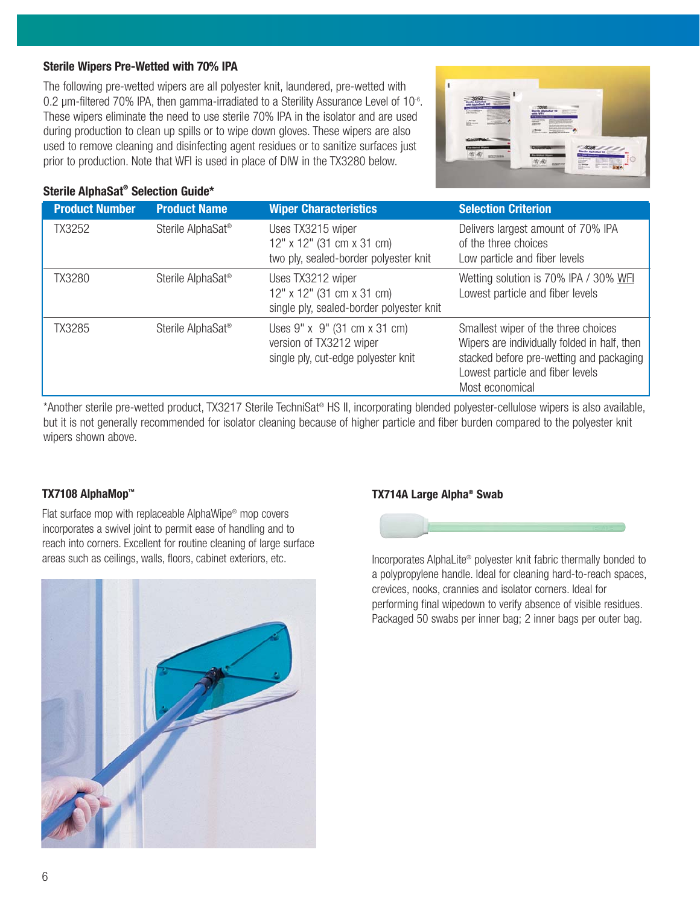#### **Sterile Wipers Pre-Wetted with 70% IPA**

The following pre-wetted wipers are all polyester knit, laundered, pre-wetted with 0.2 um-filtered 70% IPA, then gamma-irradiated to a Sterility Assurance Level of 10<sup>-6</sup>. These wipers eliminate the need to use sterile 70% IPA in the isolator and are used during production to clean up spills or to wipe down gloves. These wipers are also used to remove cleaning and disinfecting agent residues or to sanitize surfaces just prior to production. Note that WFI is used in place of DIW in the TX3280 below.



#### **Sterile AlphaSat® Selection Guide\***

| <b>Product Number</b> | <b>Product Name</b>           | <b>Wiper Characteristics</b>                                                                   | <b>Selection Criterion</b>                                                                                                                                                             |
|-----------------------|-------------------------------|------------------------------------------------------------------------------------------------|----------------------------------------------------------------------------------------------------------------------------------------------------------------------------------------|
| TX3252                | Sterile AlphaSat <sup>®</sup> | Uses TX3215 wiper<br>12" x 12" (31 cm x 31 cm)<br>two ply, sealed-border polyester knit        | Delivers largest amount of 70% IPA<br>of the three choices<br>Low particle and fiber levels                                                                                            |
| <b>TX3280</b>         | Sterile AlphaSat <sup>®</sup> | Uses TX3212 wiper<br>12" x 12" (31 cm x 31 cm)<br>single ply, sealed-border polyester knit     | Wetting solution is 70% IPA / 30% WFI<br>Lowest particle and fiber levels                                                                                                              |
| TX3285                | Sterile AlphaSat <sup>®</sup> | Uses 9" x 9" (31 cm x 31 cm)<br>version of TX3212 wiper<br>single ply, cut-edge polyester knit | Smallest wiper of the three choices<br>Wipers are individually folded in half, then<br>stacked before pre-wetting and packaging<br>Lowest particle and fiber levels<br>Most economical |

\*Another sterile pre-wetted product, TX3217 Sterile TechniSat® HS II, incorporating blended polyester-cellulose wipers is also available, but it is not generally recommended for isolator cleaning because of higher particle and fiber burden compared to the polyester knit wipers shown above.

#### **TX7108 AlphaMop™**

Flat surface mop with replaceable AlphaWipe® mop covers incorporates a swivel joint to permit ease of handling and to reach into corners. Excellent for routine cleaning of large surface areas such as ceilings, walls, floors, cabinet exteriors, etc.



#### **TX714A Large Alpha® Swab**



Incorporates AlphaLite® polyester knit fabric thermally bonded to a polypropylene handle. Ideal for cleaning hard-to-reach spaces, crevices, nooks, crannies and isolator corners. Ideal for performing final wipedown to verify absence of visible residues. Packaged 50 swabs per inner bag; 2 inner bags per outer bag.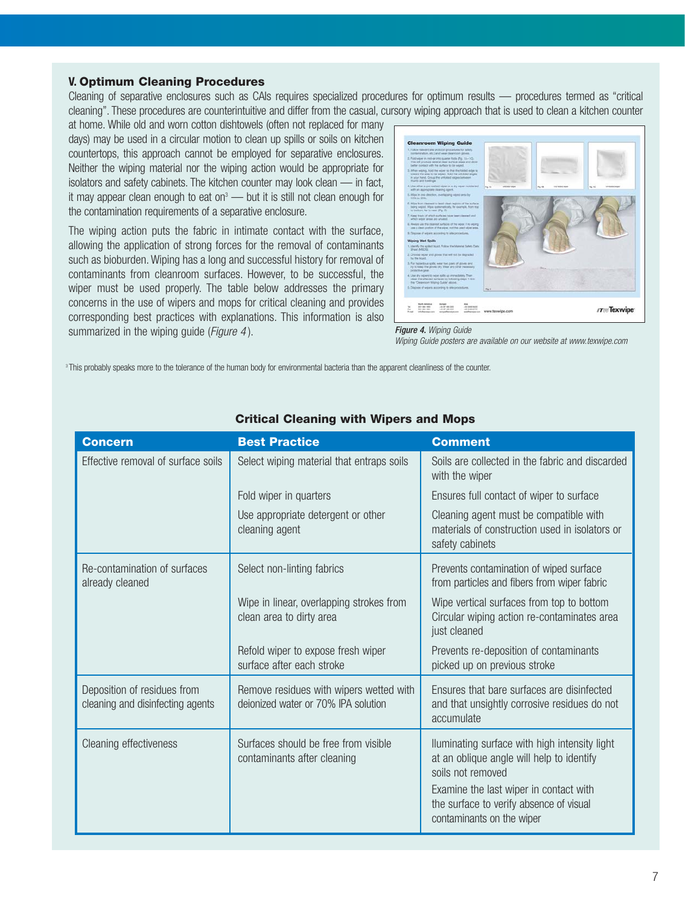#### **V. Optimum Cleaning Procedures**

Cleaning of separative enclosures such as CAIs requires specialized procedures for optimum results — procedures termed as "critical cleaning". These procedures are counterintuitive and differ from the casual, cursory wiping approach that is used to clean a kitchen counter

at home. While old and worn cotton dishtowels (often not replaced for many days) may be used in a circular motion to clean up spills or soils on kitchen countertops, this approach cannot be employed for separative enclosures. Neither the wiping material nor the wiping action would be appropriate for isolators and safety cabinets. The kitchen counter may look clean — in fact, it may appear clean enough to eat on<sup>3</sup> — but it is still not clean enough for the contamination requirements of a separative enclosure.

The wiping action puts the fabric in intimate contact with the surface, allowing the application of strong forces for the removal of contaminants such as bioburden. Wiping has a long and successful history for removal of contaminants from cleanroom surfaces. However, to be successful, the wiper must be used properly. The table below addresses the primary concerns in the use of wipers and mops for critical cleaning and provides corresponding best practices with explanations. This information is also summarized in the wiping guide (*Figure 4*).



#### Figure 4. Wiping Guide

Wiping Guide posters are available on our website at www.texwipe.com

<sup>3</sup> This probably speaks more to the tolerance of the human body for environmental bacteria than the apparent cleanliness of the counter.

| <b>Concern</b>                                                  | <b>Best Practice</b>                                                           | <b>Comment</b>                                                                                                                                                                                                                    |
|-----------------------------------------------------------------|--------------------------------------------------------------------------------|-----------------------------------------------------------------------------------------------------------------------------------------------------------------------------------------------------------------------------------|
| Effective removal of surface soils                              | Select wiping material that entraps soils                                      | Soils are collected in the fabric and discarded<br>with the wiper                                                                                                                                                                 |
|                                                                 | Fold wiper in quarters                                                         | Ensures full contact of wiper to surface                                                                                                                                                                                          |
|                                                                 | Use appropriate detergent or other<br>cleaning agent                           | Cleaning agent must be compatible with<br>materials of construction used in isolators or<br>safety cabinets                                                                                                                       |
| Re-contamination of surfaces<br>already cleaned                 | Select non-linting fabrics                                                     | Prevents contamination of wiped surface<br>from particles and fibers from wiper fabric                                                                                                                                            |
|                                                                 | Wipe in linear, overlapping strokes from<br>clean area to dirty area           | Wipe vertical surfaces from top to bottom<br>Circular wiping action re-contaminates area<br>just cleaned                                                                                                                          |
|                                                                 | Refold wiper to expose fresh wiper<br>surface after each stroke                | Prevents re-deposition of contaminants<br>picked up on previous stroke                                                                                                                                                            |
| Deposition of residues from<br>cleaning and disinfecting agents | Remove residues with wipers wetted with<br>deionized water or 70% IPA solution | Ensures that bare surfaces are disinfected<br>and that unsightly corrosive residues do not<br>accumulate                                                                                                                          |
| <b>Cleaning effectiveness</b>                                   | Surfaces should be free from visible<br>contaminants after cleaning            | Iluminating surface with high intensity light<br>at an oblique angle will help to identify<br>soils not removed<br>Examine the last wiper in contact with<br>the surface to verify absence of visual<br>contaminants on the wiper |

#### **Critical Cleaning with Wipers and Mops**